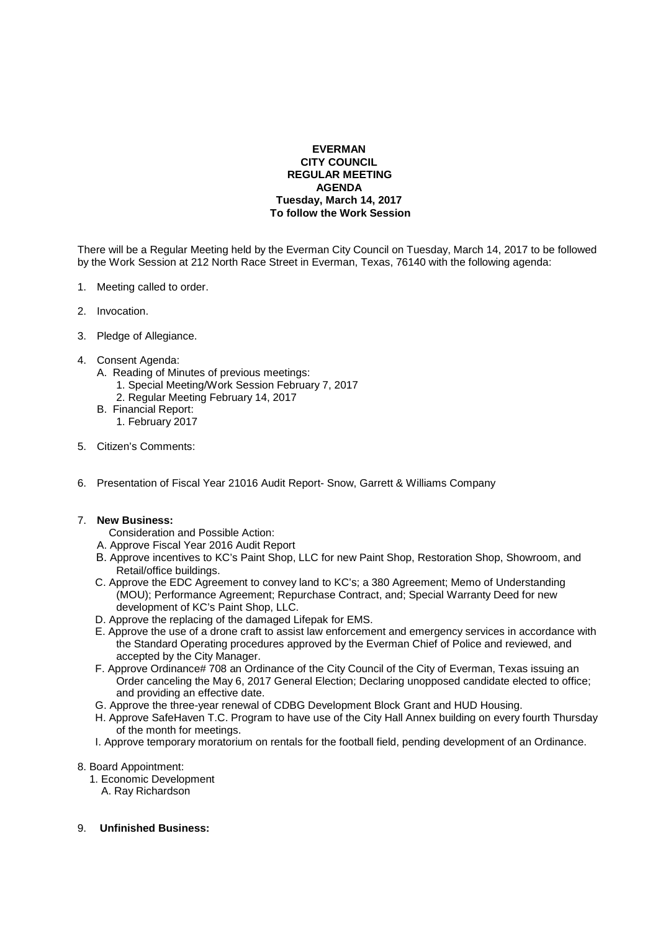## **EVERMAN CITY COUNCIL REGULAR MEETING AGENDA Tuesday, March 14, 2017 To follow the Work Session**

There will be a Regular Meeting held by the Everman City Council on Tuesday, March 14, 2017 to be followed by the Work Session at 212 North Race Street in Everman, Texas, 76140 with the following agenda:

- 1. Meeting called to order.
- 2. Invocation.
- 3. Pledge of Allegiance.
- 4. Consent Agenda:
	- A. Reading of Minutes of previous meetings:
		- 1. Special Meeting/Work Session February 7, 2017
		- 2. Regular Meeting February 14, 2017
	- B. Financial Report:
		- 1. February 2017
- 5. Citizen's Comments:
- 6. Presentation of Fiscal Year 21016 Audit Report- Snow, Garrett & Williams Company

## 7. **New Business:**

- Consideration and Possible Action:
- A. Approve Fiscal Year 2016 Audit Report
- B. Approve incentives to KC's Paint Shop, LLC for new Paint Shop, Restoration Shop, Showroom, and Retail/office buildings.
- C. Approve the EDC Agreement to convey land to KC's; a 380 Agreement; Memo of Understanding (MOU); Performance Agreement; Repurchase Contract, and; Special Warranty Deed for new development of KC's Paint Shop, LLC.
- D. Approve the replacing of the damaged Lifepak for EMS.
- E. Approve the use of a drone craft to assist law enforcement and emergency services in accordance with the Standard Operating procedures approved by the Everman Chief of Police and reviewed, and accepted by the City Manager.
- F. Approve Ordinance# 708 an Ordinance of the City Council of the City of Everman, Texas issuing an Order canceling the May 6, 2017 General Election; Declaring unopposed candidate elected to office; and providing an effective date.
- G. Approve the three-year renewal of CDBG Development Block Grant and HUD Housing.
- H. Approve SafeHaven T.C. Program to have use of the City Hall Annex building on every fourth Thursday of the month for meetings.
- I. Approve temporary moratorium on rentals for the football field, pending development of an Ordinance.

## 8. Board Appointment:

- 1. Economic Development
	- A. Ray Richardson
- 9. **Unfinished Business:**